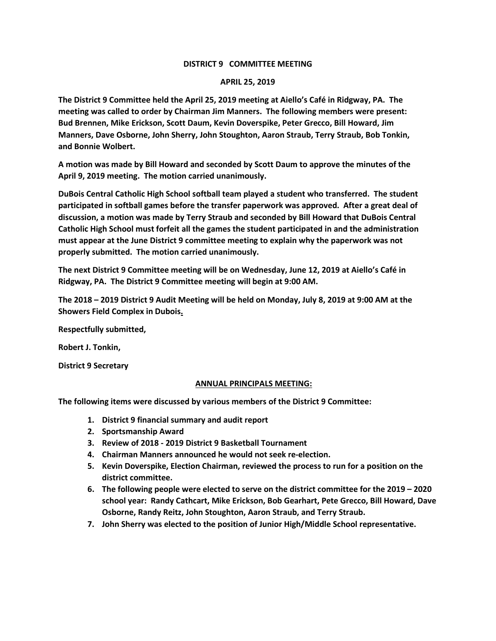## **DISTRICT 9 COMMITTEE MEETING**

## **APRIL 25, 2019**

**The District 9 Committee held the April 25, 2019 meeting at Aiello's Café in Ridgway, PA. The meeting was called to order by Chairman Jim Manners. The following members were present: Bud Brennen, Mike Erickson, Scott Daum, Kevin Doverspike, Peter Grecco, Bill Howard, Jim Manners, Dave Osborne, John Sherry, John Stoughton, Aaron Straub, Terry Straub, Bob Tonkin, and Bonnie Wolbert.**

**A motion was made by Bill Howard and seconded by Scott Daum to approve the minutes of the April 9, 2019 meeting. The motion carried unanimously.**

**DuBois Central Catholic High School softball team played a student who transferred. The student participated in softball games before the transfer paperwork was approved. After a great deal of discussion, a motion was made by Terry Straub and seconded by Bill Howard that DuBois Central Catholic High School must forfeit all the games the student participated in and the administration must appear at the June District 9 committee meeting to explain why the paperwork was not properly submitted. The motion carried unanimously.**

**The next District 9 Committee meeting will be on Wednesday, June 12, 2019 at Aiello's Café in Ridgway, PA. The District 9 Committee meeting will begin at 9:00 AM.**

**The 2018 – 2019 District 9 Audit Meeting will be held on Monday, July 8, 2019 at 9:00 AM at the Showers Field Complex in Dubois.**

**Respectfully submitted,**

**Robert J. Tonkin,**

**District 9 Secretary**

## **ANNUAL PRINCIPALS MEETING:**

**The following items were discussed by various members of the District 9 Committee:**

- **1. District 9 financial summary and audit report**
- **2. Sportsmanship Award**
- **3. Review of 2018 - 2019 District 9 Basketball Tournament**
- **4. Chairman Manners announced he would not seek re-election.**
- **5. Kevin Doverspike, Election Chairman, reviewed the process to run for a position on the district committee.**
- **6. The following people were elected to serve on the district committee for the 2019 – 2020 school year: Randy Cathcart, Mike Erickson, Bob Gearhart, Pete Grecco, Bill Howard, Dave Osborne, Randy Reitz, John Stoughton, Aaron Straub, and Terry Straub.**
- **7. John Sherry was elected to the position of Junior High/Middle School representative.**